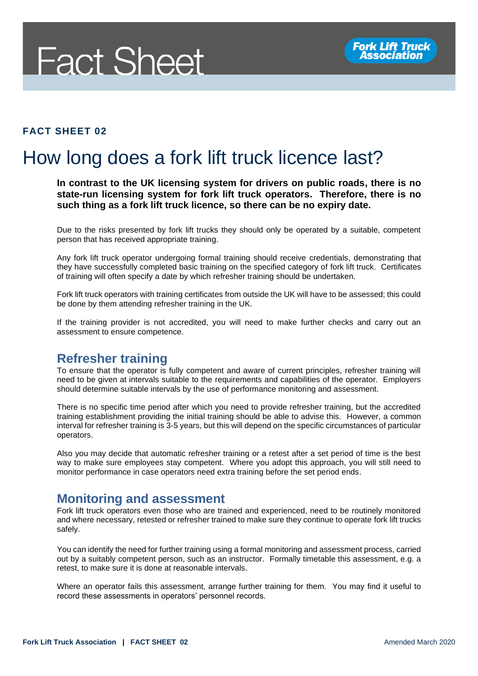

### **FACT SHEET 02**

# How long does a fork lift truck licence last?

#### **In contrast to the UK licensing system for drivers on public roads, there is no state-run licensing system for fork lift truck operators. Therefore, there is no such thing as a fork lift truck licence, so there can be no expiry date.**

Due to the risks presented by fork lift trucks they should only be operated by a suitable, competent person that has received appropriate training.

Any fork lift truck operator undergoing formal training should receive credentials, demonstrating that they have successfully completed basic training on the specified category of fork lift truck. Certificates of training will often specify a date by which refresher training should be undertaken.

Fork lift truck operators with training certificates from outside the UK will have to be assessed; this could be done by them attending refresher training in the UK.

If the training provider is not accredited, you will need to make further checks and carry out an assessment to ensure competence.

### **Refresher training**

To ensure that the operator is fully competent and aware of current principles, refresher training will need to be given at intervals suitable to the requirements and capabilities of the operator. Employers should determine suitable intervals by the use of performance monitoring and assessment.

There is no specific time period after which you need to provide refresher training, but the accredited training establishment providing the initial training should be able to advise this. However, a common interval for refresher training is 3-5 years, but this will depend on the specific circumstances of particular operators.

Also you may decide that automatic refresher training or a retest after a set period of time is the best way to make sure employees stay competent. Where you adopt this approach, you will still need to monitor performance in case operators need extra training before the set period ends.

### **Monitoring and assessment**

Fork lift truck operators even those who are trained and experienced, need to be routinely monitored and where necessary, retested or refresher trained to make sure they continue to operate fork lift trucks safely.

You can identify the need for further training using a formal monitoring and assessment process, carried out by a suitably competent person, such as an instructor. Formally timetable this assessment, e.g. a retest, to make sure it is done at reasonable intervals.

Where an operator fails this assessment, arrange further training for them. You may find it useful to record these assessments in operators' personnel records.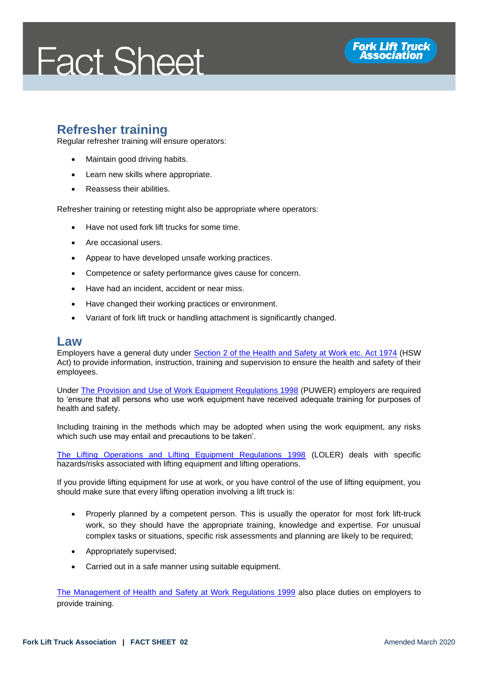# **Fact Sheet**



### **Refresher training**

Regular refresher training will ensure operators:

- Maintain good driving habits.
- Learn new skills where appropriate.
- Reassess their abilities.

Refresher training or retesting might also be appropriate where operators:

- Have not used fork lift trucks for some time.
- Are occasional users.
- Appear to have developed unsafe working practices.
- Competence or safety performance gives cause for concern.
- Have had an incident, accident or near miss.
- Have changed their working practices or environment.
- Variant of fork lift truck or handling attachment is significantly changed.

### **Law**

Employers have a general duty under [Section 2 of the Health and Safety at Work etc. Act 1974](http://www.legislation.gov.uk/ukpga/1974/37/section/2) (HSW Act) to provide information, instruction, training and supervision to ensure the health and safety of their employees.

Under [The Provision and Use of Work Equipment Regulations 1998](http://www.legislation.gov.uk/uksi/1998/2306/contents/made) (PUWER) employers are required to 'ensure that all persons who use work equipment have received adequate training for purposes of health and safety.

Including training in the methods which may be adopted when using the work equipment, any risks which such use may entail and precautions to be taken'.

[The Lifting Operations and Lifting Equipment Regulations 1998](http://www.legislation.gov.uk/uksi/1998/2307/contents/made) (LOLER) deals with specific hazards/risks associated with lifting equipment and lifting operations.

If you provide lifting equipment for use at work, or you have control of the use of lifting equipment, you should make sure that every lifting operation involving a lift truck is:

- Properly planned by a competent person. This is usually the operator for most fork lift-truck work, so they should have the appropriate training, knowledge and expertise. For unusual complex tasks or situations, specific risk assessments and planning are likely to be required;
- Appropriately supervised;
- Carried out in a safe manner using suitable equipment.

[The Management of Health and Safety at Work Regulations 1999](http://www.legislation.gov.uk/uksi/1999/3242/contents/made) also place duties on employers to provide training.